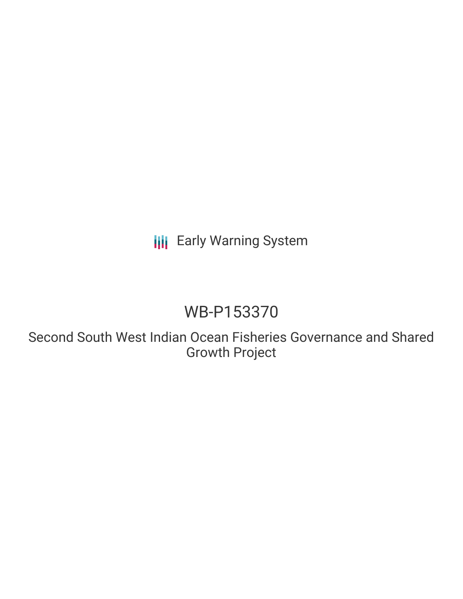**III** Early Warning System

# WB-P153370

Second South West Indian Ocean Fisheries Governance and Shared Growth Project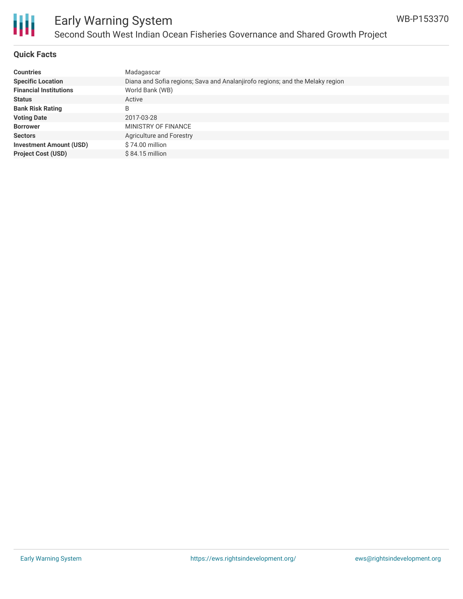

#### **Quick Facts**

| <b>Countries</b>               | Madagascar                                                                    |
|--------------------------------|-------------------------------------------------------------------------------|
| <b>Specific Location</b>       | Diana and Sofia regions; Sava and Analanjirofo regions; and the Melaky region |
| <b>Financial Institutions</b>  | World Bank (WB)                                                               |
| <b>Status</b>                  | Active                                                                        |
| <b>Bank Risk Rating</b>        | B                                                                             |
| <b>Voting Date</b>             | 2017-03-28                                                                    |
| <b>Borrower</b>                | MINISTRY OF FINANCE                                                           |
| <b>Sectors</b>                 | Agriculture and Forestry                                                      |
| <b>Investment Amount (USD)</b> | \$74.00 million                                                               |
| <b>Project Cost (USD)</b>      | $$84.15$ million                                                              |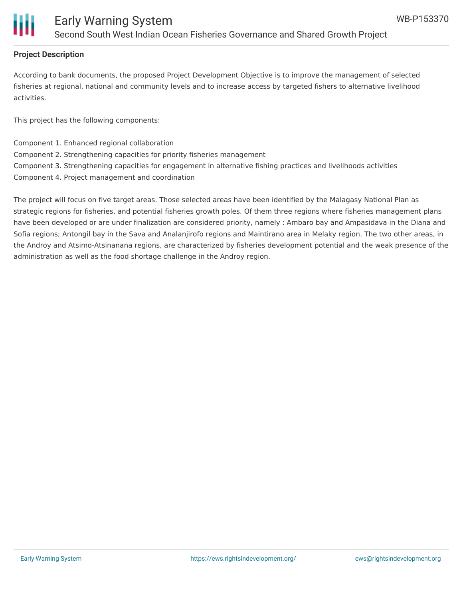

#### **Project Description**

According to bank documents, the proposed Project Development Objective is to improve the management of selected fisheries at regional, national and community levels and to increase access by targeted fishers to alternative livelihood activities.

This project has the following components:

Component 1. Enhanced regional collaboration Component 2. Strengthening capacities for priority fisheries management Component 3. Strengthening capacities for engagement in alternative fishing practices and livelihoods activities Component 4. Project management and coordination

The project will focus on five target areas. Those selected areas have been identified by the Malagasy National Plan as strategic regions for fisheries, and potential fisheries growth poles. Of them three regions where fisheries management plans have been developed or are under finalization are considered priority, namely : Ambaro bay and Ampasidava in the Diana and Sofia regions; Antongil bay in the Sava and Analanjirofo regions and Maintirano area in Melaky region. The two other areas, in the Androy and Atsimo-Atsinanana regions, are characterized by fisheries development potential and the weak presence of the administration as well as the food shortage challenge in the Androy region.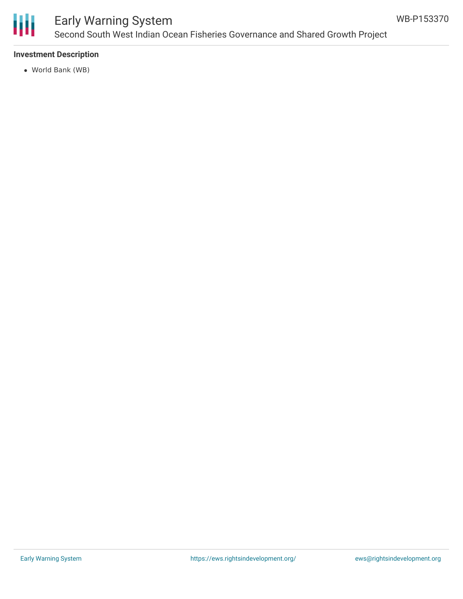

## Early Warning System Second South West Indian Ocean Fisheries Governance and Shared Growth Project

#### **Investment Description**

World Bank (WB)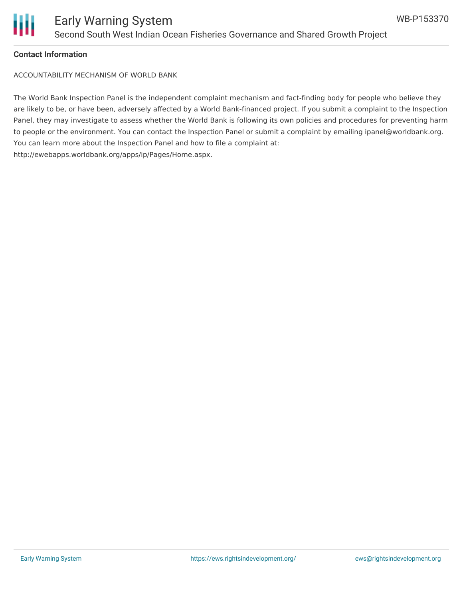

#### **Contact Information**

ACCOUNTABILITY MECHANISM OF WORLD BANK

The World Bank Inspection Panel is the independent complaint mechanism and fact-finding body for people who believe they are likely to be, or have been, adversely affected by a World Bank-financed project. If you submit a complaint to the Inspection Panel, they may investigate to assess whether the World Bank is following its own policies and procedures for preventing harm to people or the environment. You can contact the Inspection Panel or submit a complaint by emailing ipanel@worldbank.org. You can learn more about the Inspection Panel and how to file a complaint at: http://ewebapps.worldbank.org/apps/ip/Pages/Home.aspx.